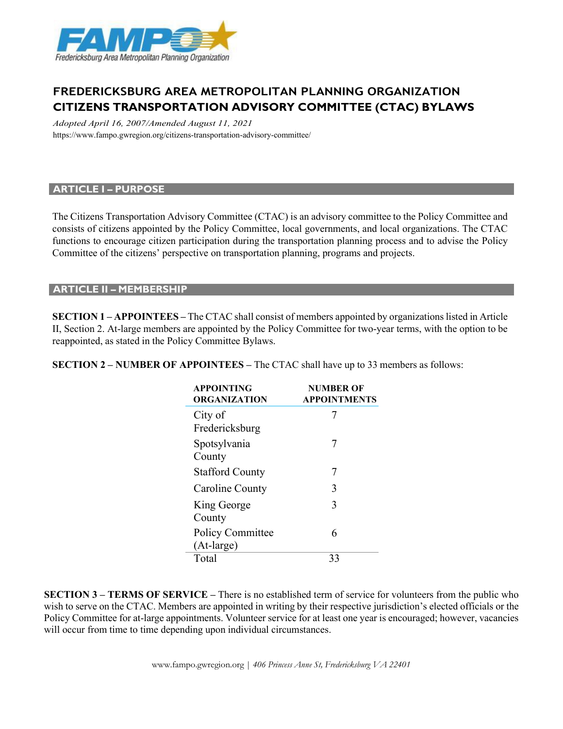

# **FREDERICKSBURG AREA METROPOLITAN PLANNING ORGANIZATION CITIZENS TRANSPORTATION ADVISORY COMMITTEE (CTAC) BYLAWS**

*Adopted April 16, 2007/Amended August 11, 2021* https:[//www.fampo.gwregion.org/citizens-transportation-advisory-committee/](http://www.fampo.gwregion.org/citizens-transportation-advisory-committee/)

#### **ARTICLE I – PURPOSE**

The Citizens Transportation Advisory Committee (CTAC) is an advisory committee to the Policy Committee and consists of citizens appointed by the Policy Committee, local governments, and local organizations. The CTAC functions to encourage citizen participation during the transportation planning process and to advise the Policy Committee of the citizens' perspective on transportation planning, programs and projects.

#### **ARTICLE II – MEMBERSHIP**

**SECTION 1 – APPOINTEES –** The CTAC shall consist of members appointed by organizations listed in Article II, Section 2. At-large members are appointed by the Policy Committee for two-year terms, with the option to be reappointed, as stated in the Policy Committee Bylaws.

| <b>APPOINTING</b><br>ORGANIZATION     | <b>NUMBER OF</b><br><b>APPOINTMENTS</b> |
|---------------------------------------|-----------------------------------------|
| City of<br>Fredericksburg             |                                         |
| Spotsylvania<br>County                | 7                                       |
| <b>Stafford County</b>                | 7                                       |
| Caroline County                       | 3                                       |
| King George<br>County                 | 3                                       |
| <b>Policy Committee</b><br>(At-large) | 6                                       |
| Total                                 |                                         |

**SECTION 2 – NUMBER OF APPOINTEES –** The CTAC shall have up to 33 members as follows:

**SECTION 3 – TERMS OF SERVICE –** There is no established term of service for volunteers from the public who wish to serve on the CTAC. Members are appointed in writing by their respective jurisdiction's elected officials or the Policy Committee for at-large appointments. Volunteer service for at least one year is encouraged; however, vacancies will occur from time to time depending upon individual circumstances.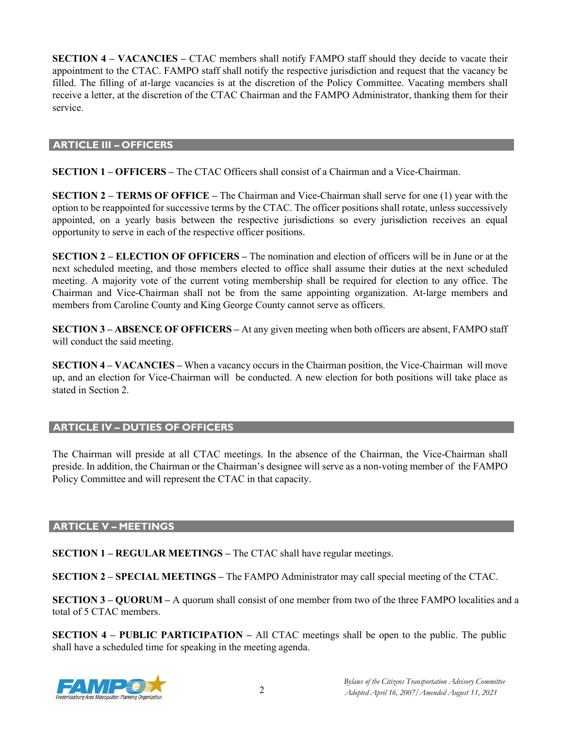**SECTION 4 – VACANCIES –** CTAC members shall notify FAMPO staff should they decide to vacate their appointment to the CTAC. FAMPO staff shall notify the respective jurisdiction and request that the vacancy be filled. The filling of at-large vacancies is at the discretion of the Policy Committee. Vacating members shall receive a letter, at the discretion of the CTAC Chairman and the FAMPO Administrator, thanking them for their service.

#### **ARTICLE III – OFFICERS**

**SECTION 1 – OFFICERS –** The CTAC Officers shall consist of a Chairman and a Vice-Chairman.

**SECTION 2 – TERMS OF OFFICE –** The Chairman and Vice-Chairman shall serve for one (1) year with the option to be reappointed for successive terms by the CTAC. The officer positions shall rotate, unless successively appointed, on a yearly basis between the respective jurisdictions so every jurisdiction receives an equal opportunity to serve in each of the respective officer positions.

**SECTION 2 – ELECTION OF OFFICERS –** The nomination and election of officers will be in June or at the next scheduled meeting, and those members elected to office shall assume their duties at the next scheduled meeting. A majority vote of the current voting membership shall be required for election to any office. The Chairman and Vice-Chairman shall not be from the same appointing organization. At-large members and members from Caroline County and King George County cannot serve as officers.

**SECTION 3 – ABSENCE OF OFFICERS –** At any given meeting when both officers are absent, FAMPO staff will conduct the said meeting.

**SECTION 4 – VACANCIES –** When a vacancy occurs in the Chairman position, the Vice-Chairman will move up, and an election for Vice-Chairman will be conducted. A new election for both positions will take place as stated in Section 2.

# **ARTICLE IV – DUTIES OF OFFICERS**

The Chairman will preside at all CTAC meetings. In the absence of the Chairman, the Vice-Chairman shall preside. In addition, the Chairman or the Chairman's designee will serve as a non-voting member of the FAMPO Policy Committee and will represent the CTAC in that capacity.

# **ARTICLE V – MEETINGS**

**SECTION 1 – REGULAR MEETINGS –** The CTAC shall have regular meetings.

**SECTION 2 – SPECIAL MEETINGS –** The FAMPO Administrator may call special meeting of the CTAC.

**SECTION 3 – QUORUM –** A quorum shall consist of one member from two of the three FAMPO localities and a total of 5 CTAC members.

**SECTION 4 – PUBLIC PARTICIPATION –** All CTAC meetings shall be open to the public. The public shall have a scheduled time for speaking in the meeting agenda.

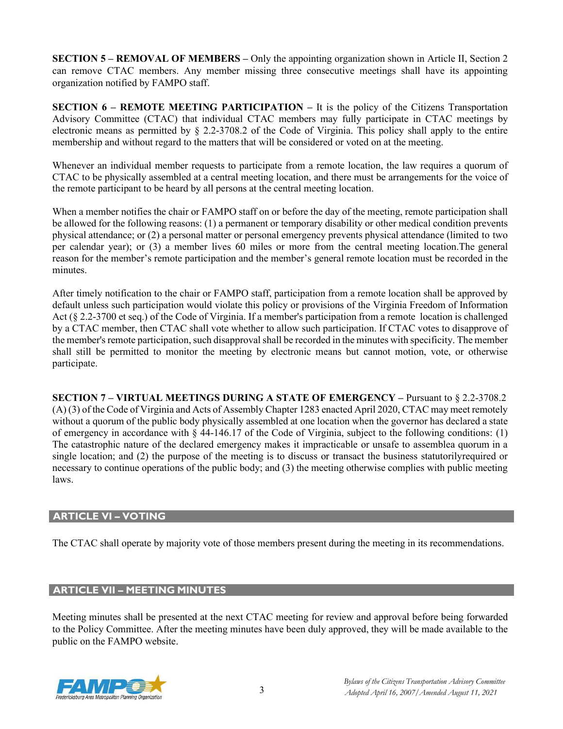**SECTION 5 – REMOVAL OF MEMBERS –** Only the appointing organization shown in Article II, Section 2 can remove CTAC members. Any member missing three consecutive meetings shall have its appointing organization notified by FAMPO staff.

**SECTION 6 – REMOTE MEETING PARTICIPATION –** It is the policy of the Citizens Transportation Advisory Committee (CTAC) that individual CTAC members may fully participate in CTAC meetings by electronic means as permitted by § 2.2-3708.2 of the Code of Virginia. This policy shall apply to the entire membership and without regard to the matters that will be considered or voted on at the meeting.

Whenever an individual member requests to participate from a remote location, the law requires a quorum of CTAC to be physically assembled at a central meeting location, and there must be arrangements for the voice of the remote participant to be heard by all persons at the central meeting location.

When a member notifies the chair or FAMPO staff on or before the day of the meeting, remote participation shall be allowed for the following reasons: (1) a permanent or temporary disability or other medical condition prevents physical attendance; or (2) a personal matter or personal emergency prevents physical attendance (limited to two per calendar year); or (3) a member lives 60 miles or more from the central meeting location.The general reason for the member's remote participation and the member's general remote location must be recorded in the minutes.

After timely notification to the chair or FAMPO staff, participation from a remote location shall be approved by default unless such participation would violate this policy or provisions of the Virginia Freedom of Information Act (§ 2.2-3700 et seq.) of the Code of Virginia. If a member's participation from a remote location is challenged by a CTAC member, then CTAC shall vote whether to allow such participation. If CTAC votes to disapprove of the member's remote participation, such disapproval shall be recorded in the minutes with specificity. The member shall still be permitted to monitor the meeting by electronic means but cannot motion, vote, or otherwise participate.

**SECTION 7 – VIRTUAL MEETINGS DURING A STATE OF EMERGENCY –** Pursuant to § 2.2-3708.2 (A) (3) of the Code of Virginia and Acts of Assembly Chapter 1283 enacted April 2020, CTAC may meet remotely without a quorum of the public body physically assembled at one location when the governor has declared a state of emergency in accordance with § 44-146.17 of the Code of Virginia, subject to the following conditions: (1) The catastrophic nature of the declared emergency makes it impracticable or unsafe to assemblea quorum in a single location; and (2) the purpose of the meeting is to discuss or transact the business statutorilyrequired or necessary to continue operations of the public body; and (3) the meeting otherwise complies with public meeting laws.

# **ARTICLE VI – VOTING**

The CTAC shall operate by majority vote of those members present during the meeting in its recommendations.

# **ARTICLE VII – MEETING MINUTES**

Meeting minutes shall be presented at the next CTAC meeting for review and approval before being forwarded to the Policy Committee. After the meeting minutes have been duly approved, they will be made available to the public on the FAMPO website.